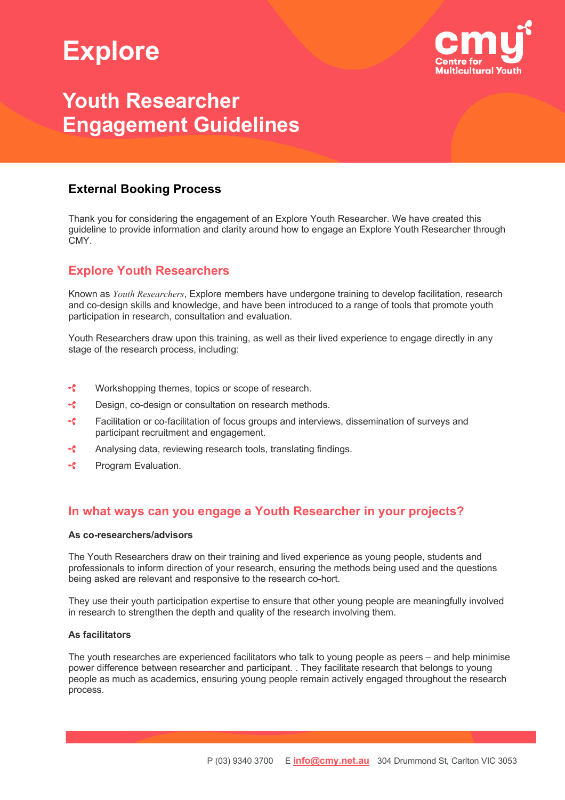# **Explore**



## **Youth Researcher Engagement Guidelines**

### **External Booking Process**

Thank you for considering the engagement of an Explore Youth Researcher. We have created this guideline to provide information and clarity around how to engage an Explore Youth Researcher through CMY.

## **Explore Youth Researchers**

Known as *Youth Researchers*, Explore members have undergone training to develop facilitation, research and co-design skills and knowledge, and have been introduced to a range of tools that promote youth participation in research, consultation and evaluation.

Youth Researchers draw upon this training, as well as their lived experience to engage directly in any stage of the research process, including:

- $\overline{\mathcal{L}}$ Workshopping themes, topics or scope of research.
- $\overline{\mathcal{L}}$ Design, co-design or consultation on research methods.
- $\overline{\mathcal{L}}$ Facilitation or co-facilitation of focus groups and interviews, dissemination of surveys and participant recruitment and engagement.
- ÷. Analysing data, reviewing research tools, translating findings.
- $\mathcal{L}$ Program Evaluation.

### **In what ways can you engage a Youth Researcher in your projects?**

### **As co-researchers/advisors**

The Youth Researchers draw on their training and lived experience as young people, students and professionals to inform direction of your research, ensuring the methods being used and the questions being asked are relevant and responsive to the research co-hort.

They use their youth participation expertise to ensure that other young people are meaningfully involved in research to strengthen the depth and quality of the research involving them.

#### **As facilitators**

The youth researches are experienced facilitators who talk to young people as peers – and help minimise power difference between researcher and participant. . They facilitate research that belongs to young people as much as academics, ensuring young people remain actively engaged throughout the research process.